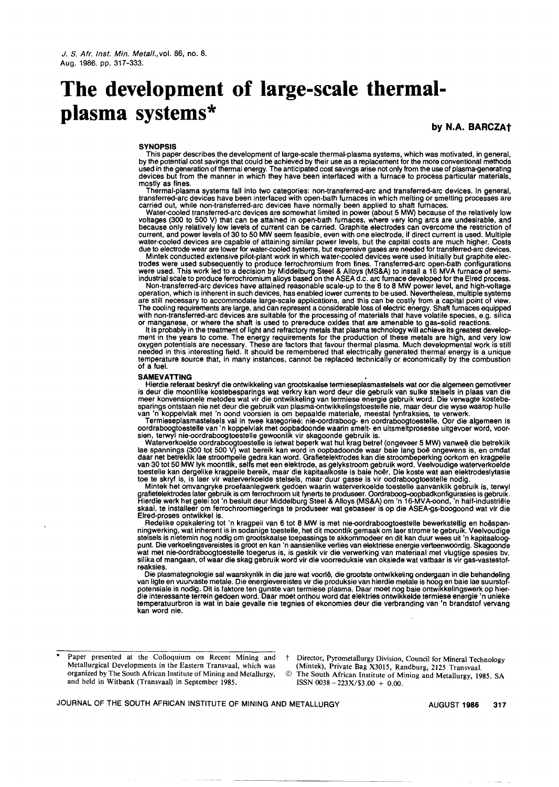# **The development of large-scale thermalplasma systems\***

by N.A. BARCZAt

#### **SYNOPSIS**

This paper describes the development of large-scale thermal-plasma systems, which was motivated, in general, by the potential cost savings that could be achieved by their use as a replacement for the more conventional method used in the generation of thermal energy. The anticipated cost savings arise not only from the use of plasma-generatir<br>devices but from the manner in which they have been interfaced with a furnace to process particular mat mostly as fines.

Thermal-plasma systems fall into two categories: non-transferred-arc and transferred-arc devices. In general, transferred-arc devices have been interfaced with open-bath furnaces in which melting or smelting processes are carried out, while non-transferred-arc devices have normally been applied to shaft furnaces.

Water-cooled transferred-arc devices are somewhat limited in power (about 5 MW) because of the relatively Iow voltages (300 to 500 V) that can be attained in open-bath furnaces, where very long arcs are undesirable, and because only relatively Iow levels of current can be carried. Graphite electrodes can overcome the restriction of current, and power levels of 30 to 50 MW seem feasible, even with one electrode, if direct current is used. Multiple water-cooled devices are capable of attaining similar power levels, but the capital costs are much higher. Costs

due to electrode wear are lower for water-cooled systems, but expensive gases are needed for transferred-arc devices<br>Mintek conducted extensive pilot-plant work in which water-cooled devices were used initially but graphit

Non-transferred-arc devices have attained reasonable scale-up to the 6 to 8 MW power level, and high-voltage operation, which is inherent in such devices, has enabled lower currents to be used. Nevertheless, multiple systems are still necessary to accommodate large-scale applications, and this can be costly from a capital point of view. The cooling requirements are large, and can represent a considerable loss of electric energy. Shaft furnaces equipped with non-transferred-arc devices are suitable for the processing of materials that have volatile species, e.g. silica

or manganese, or where the shaft is used to prereduce oxides that are amenable to gas-solid reactions. It is probably in the treatment of light and refractory metals that plasma technology will achieve its greatest development in the years to come. The energy requirements for the production of these metals are high, and very Iow oxygen potentials are necessary. These are factors that favour thermal plasma. Much developmental work is still needed in this interesting field. It should be remembered that electrically generated thermal energy is a uniqu<br>temperature source that, in many instances, cannot be replaced technically or economically by the combustio of a fuel.

#### **SAMEVATTING**

Hierdie referaat beskryf die ontwikkeling van grootskaalse termieseplasmastelsels wat oor die algemeen gemotivee<br>is deur die moontlike kostebesparings wat verkry kan word deur die gebruik van sulke stelsels in plaas van di

van 'n koppelvlak met 'n oond voorsien is om bepaalde materiale, meestal fynfraksies, te verwerk. Termieseplasmastelsels val in twee kategoriee: nie-oordraboog- en oordraboogtoestelle. Oor die algemeen is oordraboogtoestelle van 'n koppelvlak met oopbadoonde waarin smelt- en uitsmeltprosesse uitgevoer word, voorsien, terwyl nie-oordraboogtoestelle gewoonlik vir skagoonde gebruik is.

Waterverkoelde oordraboogtoestelle is ietwat beperk wat hul krag betref (ongeveer 5 MW) vanweë die betreklike<br>lae spannings (300 tot 500 V) wat bereik kan word in oopbadoonde waar baie lang boë ongewens is, en omda<br>daar ne

Mintek het omvangryke proefaanlegwerk gedoen waarin waterverkoelde toestelle aanvanklik gebruik is, terwyl grafietelektrodes later gebruik is om ferrochroom uit fynerts te produseer. Oordraboog-oopbadkonfigurasies is gebruil<br>Hierdie werk het gelei tot 'n besluit deur Middelburg Steel & Alloys (MS&A) om 'n 16-MVA-oond, 'n half-i skaal, te installeer om ferrochroomlegerings te produseer wat gebaseer is op die ASEA-gs-boogoond wat vir die Elred-proses ontwikkel is.

Redelike opskalering tot 'n kragpeil van 6 tot 8 MW is met nie-oordraboogtoestelle bewerkstellig en hoëspan-<br>ningwerking, wat inherent is in sodanige toestelle, het dit moontlik gemaak om laer strome te gebruik. Veelvoudig reaksies.

Die plasmategnologie sal waarskynlik in die jare wat voorlê, die grootste ontwikkeling ondergaan in die behandeling van ligte en vuurvaste metale. Die energievereistes vir die produksie van hierdie metale is hoog en baie lae suurstof<br>potensiale is nodig. Dit is faktore ten gunste van termiese plasma. Daar moet nog baie ontwikkelingswerk die interessante terrein gedoen word. Daar moet onthou word dat elektries ontwikkelde termiese energie 'n unieke temperatuurbron is wat in baie gevalle nie tegnies of ekonomies deur die verbranding van 'n brandstof vervang kan word nie.

. Paper presented at the Colloquium on Recent Mining and Metallurgical Developments in the Eastern Transvaal, which was organized by The South African Institute of Mining and Metallurgy, and held in Witbank (Transvaal) in September 1985.

Director, Pyrometallurgy Division, Council for Mineral Technology (Mintek), Private Bag X3015, Randburg, 2125 Transvaal.

<sup>@</sup> The South African Institute of Mining and Metallurgy, 1985. SA ISSN 0038 - *223X/\$3* .00 + 0.00.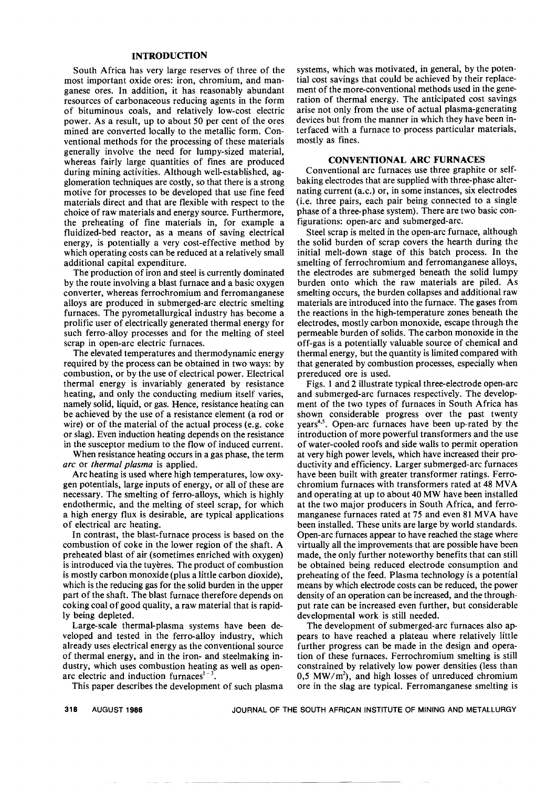## **INTRODUCTION**

South Africa has very large reserves of three of the most important oxide ores: iron, chromium, and manganese ores. In addition, it has reasonably abundant resources of carbonaceous reducing agents in the form of bituminous coals, and relatively low-cost electric power. As a result, up to about 50 per cent of the ores mined are converted locally to the metallic form. Conventional methods for the processing of these materials generally involve the need for lumpy-sized material, whereas fairly large quantities of fines are produced during mining activities. Although well-established, agglomeration techniques are costly, so that there is a strong motive for processes to be developed that use fine feed materials direct and that are flexible with respect to the choice of raw materials and energy source. Furthermore, the preheating of fine materials in, for example a fluidized-bed reactor, as a means of saving electrical energy, is potentially a very cost-effective method by which operating costs can be reduced at a relatively small additional capital expenditure.

The production of iron and steel is currently dominated by the route involving a blast furnace and a basic oxygen converter, whereas ferrochromium and ferromanganese alloys are produced in submerged-arc electric smelting furnaces. The pyrometallurgical industry has become a prolific user of electrically generated thermal energy for such ferro-alloy processes and for the melting of steel scrap in open-arc electric furnaces.

The elevated temperatures and thermodynamic energy required by the process can be obtained in two ways: by combustion, or by the use of electrical power. Electrical thermal energy is invariably generated by resistance heating, and only the conducting medium itself varies, namely solid, liquid, or gas. Hence, resistance heating can be achieved by the use of a resistance element (a rod or wire) or of the material of the actual process (e.g. coke or slag). Even induction heating depends on the resistance in the susceptor medium to the flow of induced current.

When resistance heating occurs in a gas phase, the term *arc* or *thermal plasma* is applied.

Arc heating is used where high temperatures, low oxygen potentials, large inputs of energy, or all of these are necessary. The smelting of ferro-alloys, which is highly endothermic, and the melting of steel scrap, for which a high energy flux is desirable, are typical applications of electrical arc heating.

In contrast, the blast-furnace process is based on the combustion of coke in the lower region of the shaft. A preheated blast of air (sometimes enriched with oxygen) is introduced via the tuyeres. The product of combustion is mostly carbon monoxide (plus a little carbon dioxide), which is the reducing gas for the solid burden in the upper part of the shaft. The blast furnace therefore depends on coking coal of good quality, a raw material that is rapidly being depleted.

Large-scale thermal-plasma systems have been developed and tested in the ferro-alloy industry, which already uses electrical energy as the conventional source of thermal energy, and in the iron- and steelmaking industry, which uses combustion heating as well as openarc electric and induction furnaces $1-3$ 

This paper describes the development of such plasma

systems, which was motivated, in general, by the potential cost savings that could be achieved by their replacement of the more-conventional methods used in the generation of thermal energy. The anticipated cost savings arise not only from the use of actual plasma-generating devices but from the manner in which they have been interfaced with a furnace to process particular materials, mostly as fines.

#### CONVENTIONAL ARC FURNACES

Conventional arc furnaces use three graphite or selfbaking electrodes that are supplied with three-phase alternating current (a.c.) or, in some instances, six electrodes (i.e. three pairs, each pair being connected to a single phase of a three-phase system). There are two basic configurations: open-arc and submerged-arc.

Steel scrap is melted in the open-arc furnace, although the solid burden of scrap covers the hearth during the initial melt-down stage of this batch process. In the smelting of ferrochromium and ferromanganese alloys, the electrodes are submerged beneath the solid lumpy burden onto which the raw materials are piled. As smelting occurs, the burden collapses and additional raw materials are introduced into the furnace. The gases from the reactions in the high-temperature zones beneath the electrodes, mostly carbon monoxide, escape through the permeable burden of solids. The carbon monoxide in the off-gas is a potentially valuable source of chemical and thermal energy, but the quantity is limited compared with that generated by combustion processes, especially when prereduced ore is used.

Figs. 1 and 2 illustrate typical three-electrode open-arc and submerged-arc furnaces respectively. The development of the two types of furnaces in South Africa has shown considerable progress over the past twenty years<sup>4,5</sup>. Open-arc furnaces have been up-rated by the introduction of more powerful transformers and the use of water-cooled roofs and side walls to permit operation at very high power levels, which have increased their productivity and efficiency. Larger submerged-arc furnaces have been built with greater transformer ratings. Ferrochromium furnaces with transformers rated at 48 MVA and operating at up to about 40 MW have been installed at the two major producers in South Africa, and ferromanganese furnaces rated at 75 and even 81 MVA have been installed. These units are large by world standards. Open-arc furnaces appear to have reached the stage where virtually all the improvements that are possible have been made, the only further noteworthy benefits that can still be obtained being reduced electrode consumption and preheating of the feed. Plasma technology is a potential means by which electrode costs can be reduced, the power density of an operation can be increased, and the throughput rate can be increased even further, but considerable developmental work is still needed.

The development of submerged-arc furnaces also appears to have reached a plateau where relatively little further progress can be made in the design and operation of these furnaces. Ferrochromium smelting is still constrained by relatively low power densities (less than 0,5 MW/ $m<sup>2</sup>$ ), and high losses of unreduced chromium ore in the slag are typical. Ferromanganese smelting is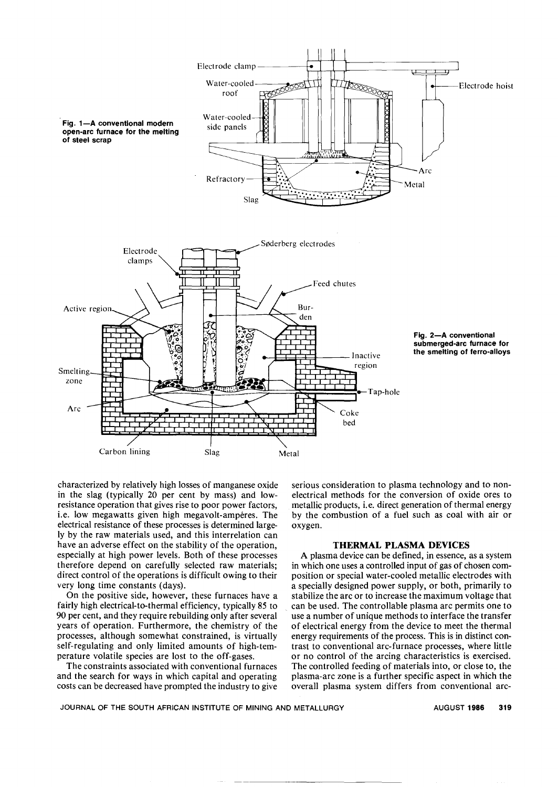

characterized by relatively high losses of manganese oxide in the slag (typically 20 per cent by mass) and lowresistance operation that gives rise to poor power factors, i.e. low megawatts given high megavolt-amperes. The electrical resistance of these processes is determined largely by the raw materials used, and this interrelation can have an adverse effect on the stability of the operation, especially at high power levels. Both of these processes therefore depend on carefully selected raw materials; direct control of the operations is difficult owing to their very long time constants (days).

On the positive side, however, these furnaces have a fairly high electrical-to-thermal efficiency, typically 85 to 90 per cent, and they require rebuilding only after several years of operation. Furthermore, the chemistry of the processes, although somewhat constrained, is virtually self-regulating and only limited amounts of high-temperature volatile species are lost to the off-gases.

The constraints associated with conventional furnaces and the search for ways in which capital and operating costs can be decreased have prompted the industry to give serious consideration to plasma technology and to nonelectrical methods for the conversion of oxide ores to metallic products, i.e. direct generation of thermal energy by the combustion of a fuel such as coal with air or oxygen.

## THERMAL PLASMA DEVICES

A plasma device can be defined, in essence, as a system in which one uses a controlled input of gas of chosen composition or special water-cooled metallic electrodes with a specially designed power supply, or both, primarily to stabilize the arc or to increase the maximum voltage that can be used. The controllable plasma arc permits one to use a number of unique methods to interface the transfer of electrical energy from the device to meet the thermal energy requirements of the process. This is in distinct contrast to conventional arc-furnace processes, where little or no control of the arcing characteristics is exercised. The controlled feeding of materials into, or close to, the plasma-arc zone is a further specific aspect in which the overall plasma system differs from conventional arc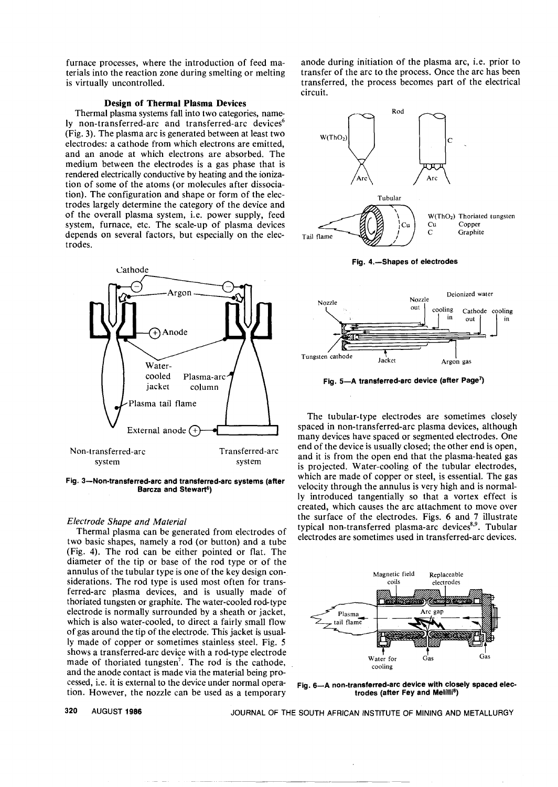furnace processes, where the introduction of feed materials into the reaction zone during smelting or melting is virtually uncontrolled.

## Design of Thermal Plasma Devices

Thermal plasma systems fall into two categories, namely non-transferred-arc and transferred-arc devices<sup>6</sup> (Fig. 3). The plasma arc is generated between at least two electrodes: a cathode from which electrons are emitted, and an anode at which electrons are absorbed. The medium between the electrodes is a gas phase that is rendered electrically conductive by heating and the ionization of some of the atoms (or molecules after dissociation). The configuration and shape or form of the electrodes largely determine the category of the device and of the overall plasma system, i.e. power supply, feed system, furnace, etc. The scale-up of plasma devices depends on several factors, but especially on the electrodes.



Fig. 3-Non-transferred-arc and transferred-arc systems (after Barcza and Stewart<sup>6</sup>)

## *Electrode Shape and Material*

Thermal plasma can be generated from electrodes of two basic shapes, namely a rod (or button) and a tube (Fig. 4). The rod can be either pointed or flat. The diameter of the tip or base of the rod type or of the annulus of the tubular type is one of the key design considerations. The rod type is used most often for transferred-arc plasma devices, and is usually made of thoriated tungsten or graphite. The water-cooled rod-type electrode is normally surrounded by a sheath or jacket, which is also water-cooled, to direct a fairly small flow of gas around the tip of the electrode. This jacket is usually made of copper or sometimes stainless steel. Fig. 5 shows a transferred-arc device with a rod-type electrode made of thoriated tungsten<sup>7</sup>. The rod is the cathode, and the anode contact is made via the material being processed, i.e. it is external to the device under normal operation. However, the nozzle can be used as a temporary

anode during initiation of the plasma arc, i.e. prior to transfer of the arc to the process. Once the arc has been transferred, the process becomes part of the electrical circuit.



Fig. 4.-Shapes of electrodes



Fig. 5-A transferred-arc device (after Page<sup>7</sup>)

The tubular-type electrodes are sometimes closely spaced in non-transferred-arc plasma devices, although many devices have spaced or segmented electrodes. One end of the device is usually closed; the other end is open, and it is from the open end that the plasma-heated gas is projected. Water-cooling of the tubular electrodes, which are made of copper or steel, is essential. The gas velocity through the annulus is very high and is normally introduced tangentially so that a vortex effect is created, which causes the arc attachment to move over the surface of the electrodes. Figs. 6 and 7 illustrate typical non-transferred plasma-arc devices<sup>8,9</sup>. Tubular electrodes are sometimes used in transferred-arc devices.



Fig. 6-A non-transferred-arc device with closely spaced electrodes (after Fey and Melilli<sup>8</sup>)

320 AUGUST 1986 JOURNAL OF THE SOUTH AFRICAN INSTITUTE OF MINING AND METALLURGY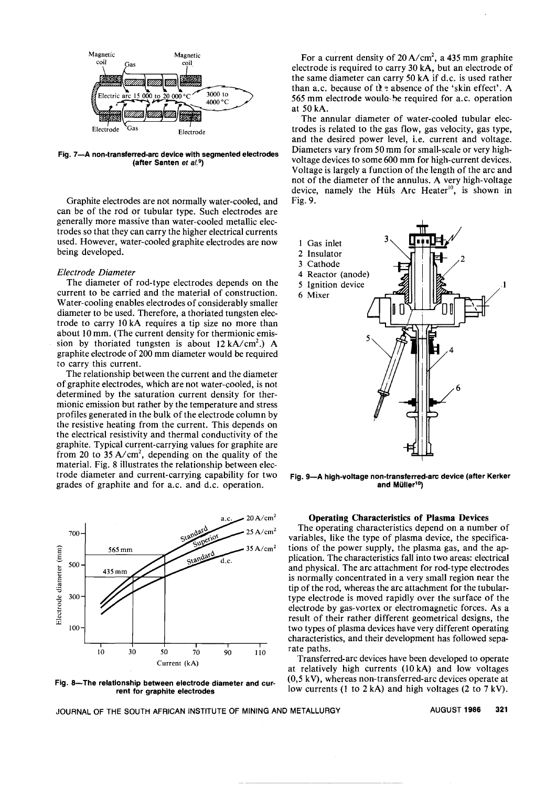

Fig. 7-A non-transferred-arc device with segmented electrodes (after Santen *et al.*9)

Graphite electrodes are not normally water-cooled, and can be of the rod or tubular type. Such electrodes are generally more massive than water-cooled metallic electrodes so that they can carry the higher electrical currents used. However, water-cooled graphite electrodes are now being developed.

## *Electrode Diameter*

The diameter of rod-type electrodes depends on the current to be carried and the material of construction. Water-cooling enables electrodes of considerably smaller diameter to be used. Therefore, a thoriated tungsten electrode to carry 10 kA requires a tip size no more than about 10 mm. (The current density for thermionic emission by thoriated tungsten is about  $12 \text{ kA/cm}^2$ .) A graphite electrode of 200 mm diameter would be required to carry this current.

The relationship between the current and the diameter of graphite electrodes, which are not water-cooled, is not determined by the saturation current density for thermionic emission but rather by the temperature and stress profiles generated in the bulk of the electrode column by the resistive heating from the current. This depends on the electrical resistivity and thermal conductivity of the graphite. Typical current-carrying values for graphite are from 20 to 35 A/cm<sup>2</sup>, depending on the quality of the material. Fig. 8 illustrates the relationship between electrode diameter and current-carrying capability for two grades of graphite and for a.c. and d.c. operation.



Fig. 8-The relationship between electrode diameter and current for graphite electrodes

For a current density of  $20 \text{ A/cm}^2$ , a 435 mm graphite electrode is required to carry 30 kA, but an electrode of the same diameter can carry 50 kA if d.c. is used rather than a.c. because of the absence of the 'skin effect'. A 565 mm electrode would-be required for a.c. operation at 50 kA.

The annular diameter of water-cooled tubular electrodes is related to the gas flow, gas velocity, gas type, and the desired power level, i.e. current and voltage. Diameters vary from 50 mm for small-scale or very highvoltage devices to some 600 mm for high-current devices. Voltage is largely a function of the length of the arc and not of the diameter of the annulus. A very high-voltage device, namely the Hüls Arc Heater<sup>10</sup>, is shown in Fig. 9.



Fig. 9-A high-voltage non-transferred-arc device (after Kerker and Müller<sup>10</sup>)

## Operating Characteristics of Plasma Devices

The operating characteristics depend on a number of variables, like the type of plasma device, the specifications of the power supply, the plasma gas, and the application. The characteristics fall into two areas: electrical and physical. The arc attachment for rod-type electrodes is normally concentrated in a very small region near the tip of the rod, whereas the arc attachment for the tubulartype electrode is moved rapidly over the surface of the electrode by gas-vortex or electromagnetic forces. As a result of their rather different geometrical designs, the two types of plasma devices have very different operating characteristics, and their development has followed separate paths.

Transferred-arc devices have been developed to operate at relatively high currents (10 kA) and low voltages (0,5 kV), whereas non-transferred-arc devices operate at low currents (I to 2 kA) and high voltages (2 to 7 kV).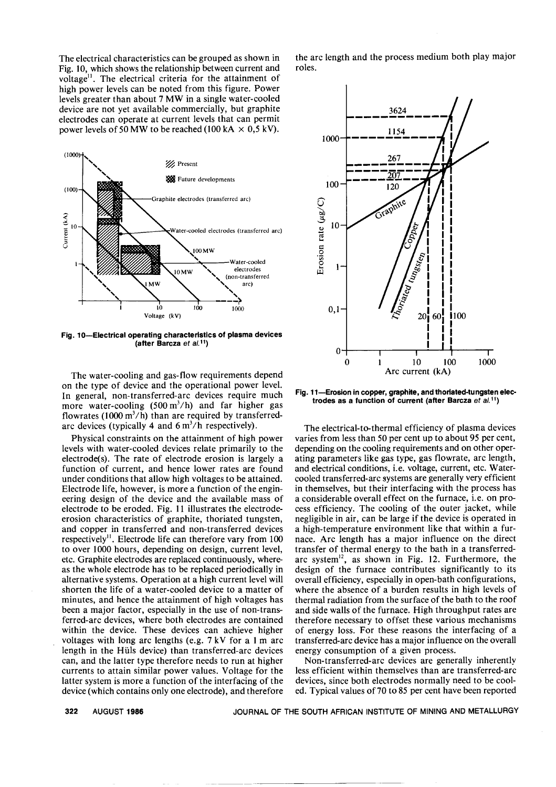The electrical characteristics can be grouped as shown in Fig. 10, which shows the relationship between current and voltage". The electrical criteria for the attainment of high power levels can be noted from this figure. Power levels greater than about 7 MW in a single water-cooled device are not yet available commercially, but graphite electrodes can operate at current levels that can permit power levels of 50 MW to be reached (100 kA  $\times$  0,5 kV).



Fig. 10-Electrical operating characteristics of plasma devices (after Barcza *et al,11)*

The water-cooling and gas-flow requirements depend on the type of device and the operational power level. In general, non-transferred-arc devices require much more water-cooling  $(500 \text{ m}^3/\text{h})$  and far higher gas flowrates (1000  $\text{m}^3/\text{h}$ ) than are required by transferredarc devices (typically 4 and  $6 \text{ m}^3/\text{h}$  respectively).

Physical constraints on the attainment of high power levels with water-cooled devices relate primarily to the electrode(s). The rate of electrode erosion is largely a function of current, and hence lower rates are found under conditions that allow high voltages to be attained. Electrode life, however, is more a function of the engineering design of the device and the available mass of electrode to be eroded. Fig. 11 illustrates the electrodeerosion characteristics of graphite, thoriated tungsten, and copper in transferred and non-transferred devices respectively". Electrode life can therefore vary from 100 to over 1000 hours, depending on design, current level, etc. Graphite electrodes are replaced continuously, whereas the whole electrode has to be replaced periodically in alternative systems. Operation at a high current level will shorten the life of a water-cooled device to a matter of minutes, and hence the attainment of high voltages has been a major factor, especially in the use of non-transferred-arc devices, where both electrodes are contained within the device. These devices can achieve higher voltages with long arc lengths (e.g. 7 kV for a 1 m arc length in the Huls device) than transferred-arc devices can, and the latter type therefore needs to run at higher currents to attain similar power values. Voltage for the latter system is more a function of the interfacing of the device (which contains only one electrode), and therefore the arc length and the process medium both play major roles.



Fig. 11-Erosion in copper, graphite, and thoriated-tungsten electrodes as a function of current (after Barcza *et al,11)*

The electrical-to-thermal efficiency of plasma devices varies from less than 50 per cent up to about 95 per cent, depending on the cooling requirements and on other operating parameters like gas type, gas flowrate, arc length, and electrical conditions, i.e. voltage, current, etc. Watercooled transferred-arc systems are generally very efficient in themselves, but their interfacing with the process has a considerable overall effect on the furnace, i.e. on process efficiency. The cooling of the outer jacket, while negligible in air, can be large if the device is operated in a high-temperature environment like that within a furnace. Arc length has a major influence on the direct transfer of thermal energy to the bath in a transferredarc system $^{12}$ , as shown in Fig. 12. Furthermore, the design of the furnace contributes significantly to its overall efficiency, especially in open-bath configurations, where the absence of a burden results in high levels of thermal radiation from the surface of the bath to the roof and side walls of the furnace. High throughput rates are therefore necessary to offset these various mechanisms of energy loss. For these reasons the interfacing of a transferred-arc device has a major influence on the overall energy consumption of a given process.

Non-transferred-arc devices are generally inherently less efficient within themselves than are transferred-arc devices, since both electrodes normally need to be cooled. Typical values of 70 to 85 per cent have been reported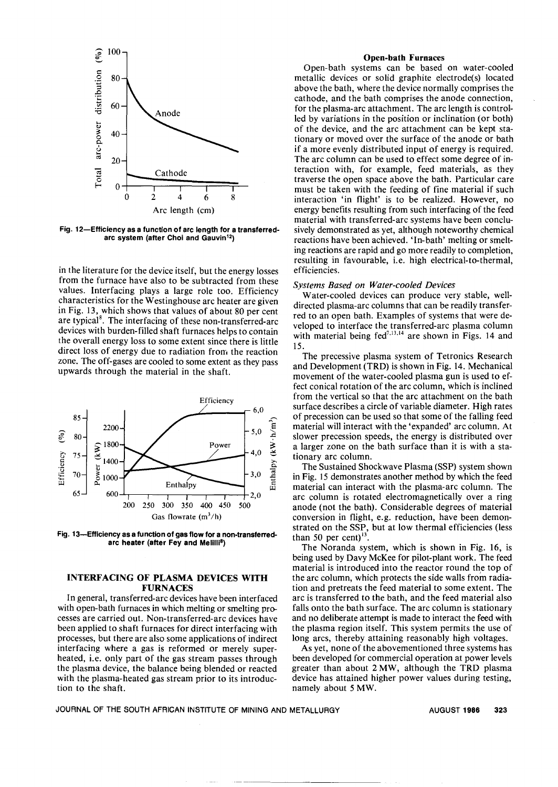

Fig. 12-Efficiency as a function of arc length for a transferredarc system (after Choi and Gauvin<sup>12</sup>)

in the literature for the device itself, but the energy losses from the furnace have also to be subtracted from these values. Interfacing plays a large role too. Efficiency characteristics for the Westinghouse arc heater are given in Fig. 13, which shows that values of about 80 per cent are typical<sup>8</sup>. The interfacing of these non-transferred-arc devices with burden-filled shaft furnaces helps to contain the overall energy loss to some extent since there is little direct loss of energy due to radiation from the reaction zone. The off-gases are cooled to some extent as they pass upwards through the material in the shaft.



Fig. 13-Efficiency as a function of gas flow for a non-transferredarc heater (after Fey and Melilli<sup>8</sup>)

## INTERFACING OF PLASMA DEVICES WITH FURNACES

In general, transferred-arc devices have been interfaced with open-bath furnaces in which melting or smelting processes are carried out. Non-transferred-arc devices have been applied to shaft furnaces for direct interfacing with processes, but there are also some applications of indirect interfacing where a gas is reformed or merely superheated, i.e. only part of the gas stream passes through the plasma device, the balance being blended or reacted with the plasma-heated gas stream prior to its introduction to the shaft.

#### Open-bath Furnaces

Open-bath systems can be based on water-cooled metallic devices or solid graphite electrode(s) located above the bath, where the device normally comprises the cathode, and the bath comprises the anode connection, for the plasma-arc attachment. The arc length is controlled by variations in the position or inclination (or both) of the device, and the arc attachment can be kept stationary or moved over the surface of the anode or bath if a more evenly distributed input of energy is required. The arc column can be used to effect some degree of interaction with, for example, feed materials, as they traverse the open space above the bath. Particular care must be taken with the feeding of fine material if such interaction 'in flight' is to be realized. However, no energy benefits resulting from such interfacing of the feed material with transferred-arc systems have been conclusively demonstrated as yet, although noteworthy chemical reactions have been achieved. 'In-bath' melting or smelting reactions are rapid and go more readily to completion, resulting in favourable, *i.e.* high electrical-to-thermal, efficiencies.

#### *Systems Based on Water-cooled Devices*

Water-cooled devices can produce very stable, welldirected plasma-arc columns that can be readily transferred to an open bath. Examples of systems that were developed to interface the transferred-arc plasma column with material being  $fed^{7,13,14}$  are shown in Figs. 14 and 15.

The precessive plasma system of Tetronics Research and Development (TRD) is shown in Fig. 14. Mechanical movement of the water-cooled plasma gun is used to effect conical rotation of the arc column, which is inclined from the vertical so that the arc attachment on the bath surface describes a circle of variable diameter. High rates of precession can be used so that some of the falling feed material will interact with the 'expanded' arc column. At slower precession speeds, the energy is distributed over a larger zone on the bath surface than it is with a stationary arc column.

The Sustained Shock wave Plasma (SSP) system shown in Fig. 15 demonstrates another method by which the feed material can interact with the plasma-arc column. The arc column is rotated electromagnetically over a ring anode (not the bath). Considerable degrees of material conversion in flight, e.g. reduction, have been demonstrated on the SSP, but at low thermal efficiencies (less than 50 per cent) $^{13}$ 

The Noranda system, which is shown in Fig. 16, is being used by Davy McKee for pilot-plant work. The feed material is introduced into the reactor round the top of the arc column, which protects the side walls from radiation and pretreats the feed material to some extent. The arc is transferred to the bath, and the feed material also falls onto the bath surface. The arc column is stationary and no deliberate attempt is made to interact the feed with the plasma region itself. This system permits the use of long arcs, thereby attaining reasonably high voltages.

As yet, none of the abovementioned three systems has been developed for commercial operation at power levels greater than about 2 MW, although the TRD plasma device has attained higher power values during testing, namely about 5 MW.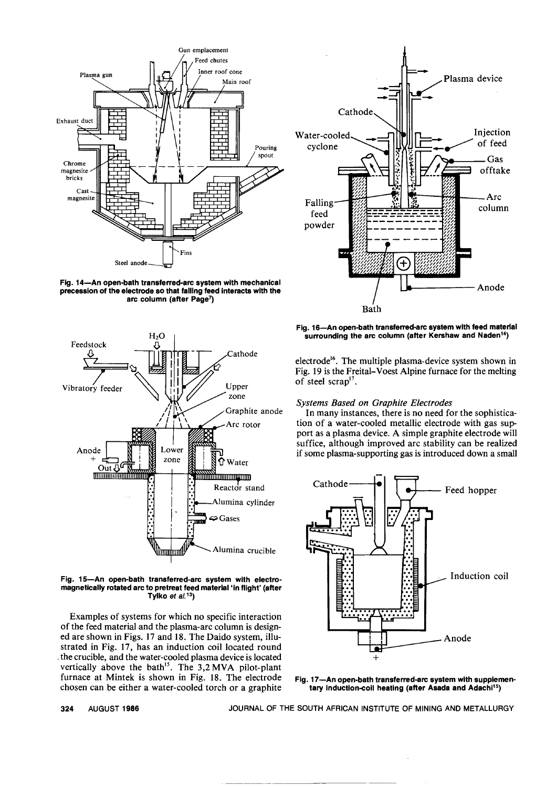

Fig. 14-An open-bath transferred-arc system with mechanical precession of the electrode so that failing feed interacts with the arc column (after Page<sup>7</sup>)



Fig. 15-An open-bath transferred-arc system with electromagnetically rotated arc to pretreat feed material 'in flight' (after Tylko et *al.* 13)

Examples of systems for which no specific interaction of the feed material and the plasma-arc column is designed are shown in Figs. 17 and 18. The Daido system, illustrated in Fig. 17, has an induction coil located round .the crucible, and the water-cooled plasma device is located vertically above the bath<sup>15</sup>. The  $3,2 MVA$  pilot-plant furnace at Mintek is shown in Fig. 18. The electrode chosen can be either a water-cooled torch or a graphite



Fig. 16-An open-bath transferred-arc system with feed material surrounding the arc column (after Kershaw and Naden<sup>14</sup>)

electrode<sup>16</sup>. The multiple plasma-device system shown in Fig. 19 is the Freital- Voest Alpine furnace for the melting of steel scrap<sup>17</sup>.

# *Systems Based on Graphite Electrodes*

In many instances, there is no need for the sophistication of a water-cooled metallic electrode with gas support as a plasma device. A simple graphite electrode will suffice, although improved arc stability can be realized if some plasma-supporting gas is introduced down a small



Fig. 17-An open-bath transferred-arc system with supplementary induction-coil heating (after Asada and Adachi<sup>15</sup>)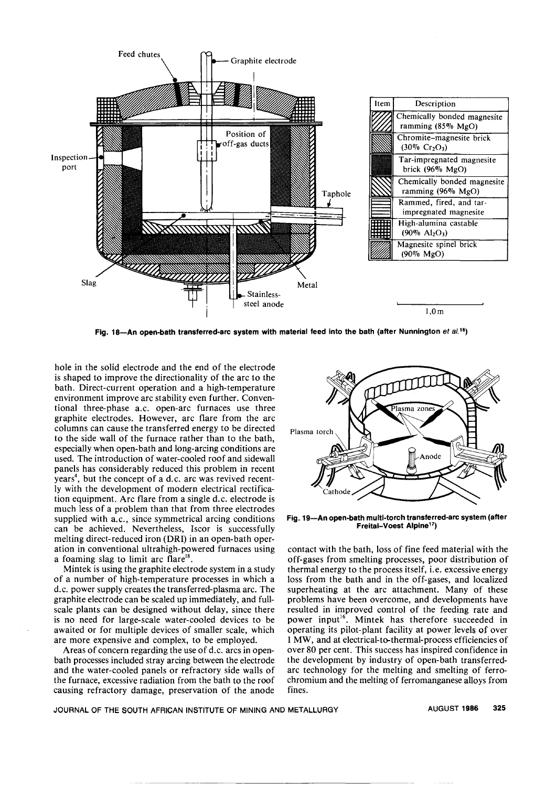

Fig. 18-An open-bath transferred-arc system with material feed into the bath (after Nunnington et al.<sup>16</sup>)

hole in the solid electrode and the end of the electrode is shaped to improve the directionality of the arc to the bath. Direct-current operation and a high-temperature environment improve arc stability even further. Conventional three-phase a.c. open-arc furnaces use three graphite electrodes. However, arc flare from the arc columns can cause the transferred energy to be directed to the side wall of the furnace rather than to the bath, especially when open-bath and long-arcing conditions are used. The introduction of water-cooled roof and sidewall panels has considerably reduced this problem in recent years<sup>4</sup>, but the concept of a d.c. arc was revived recently with the development of modern electrical rectification equipment. Arc flare from a single d.c. electrode is much less of a problem than that from three electrodes supplied with a.c., since symmetrical arcing conditions can be achieved. Nevertheless, Iscor is successfully melting direct-reduced iron (DRI) in an open-bath operation in conventional ultrahigh-powered furnaces using a foaming slag to limit arc flare<sup>18</sup>.

Mintek is using the graphite electrode system in a study of a number of high-temperature processes in which a d.c. power supply creates the transferred-plasma arc. The graphite electrode can be scaled up immediately, and fullscale plants can be designed without delay, since there is no need for large-scale water-cooled devices to be awaited or for multiple devices of smaller scale, which are more expensive and complex, to be employed.

Areas of concern regarding the use of d.c. arcs in openbath processes included stray arcing between the electrode and the water-cooled panels or refractory side walls of the furnace, excessive radiation from the bath to the roof causing refractory damage, preservation of the anode



Fig. 19-An open-bath multi-torch transferred-arc system (after Freital-Voest Alpinel7)

contact with the bath, loss of fine feed material with the off-gases from smelting processes, poor distribution of thermal energy to the process itself, i.e. excessive energy loss from the bath and in the off-gases, and localized superheating at the arc attachment. Many of these problems have been overcome, and developments have resulted in improved control of the feeding rate and power input<sup>16</sup>. Mintek has therefore succeeded in operating its pilot-plant facility at power levels of over 1 MW, and at electrical-to-thermal-process efficiencies of over 80 per cent. This success has inspired confidence in the development by industry of open-bath transferredarc technology for the melting and smelting of ferrochromium and the melting of ferromanganese alloys from fines.

JOURNAL OF THE SOUTH AFRICAN INSTITUTE OF MINING AND METALLURGY AUGUST 1986 325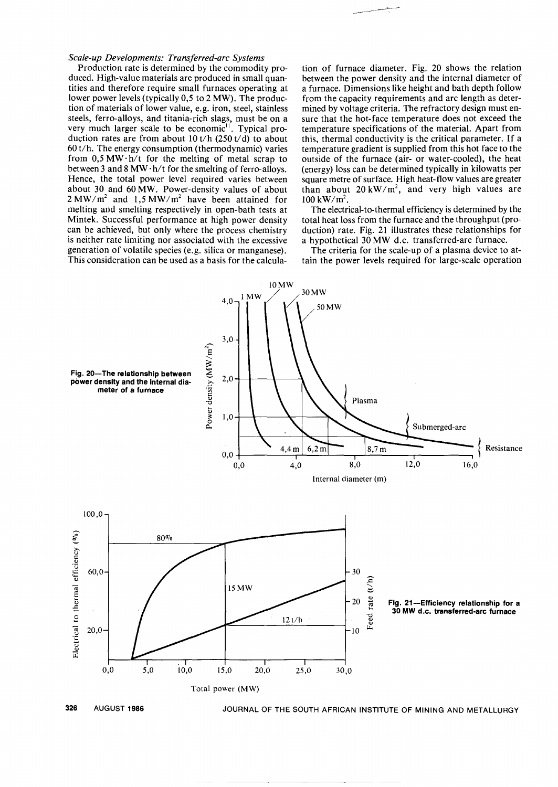## *Scale-up Developments: Transferred-arc Systems*

Production rate is determined by the commodity produced. High-value materials are produced in small quantities and therefore require small furnaces operating at lower power levels (typically 0,5 to 2 MW). The production of materials of lower value, e.g. iron, steel, stainless steels, ferro-alloys, and titania-rich slags, must be on a very much larger scale to be economic<sup>11</sup>. Typical production rates are from about 10 t/h  $(250 \text{ t/d})$  to about 60 t/h. The energy consumption (thermodynamic) varies from  $0.5$  MW $\cdot$ h/t for the melting of metal scrap to between 3 and 8 MW $\cdot$ h/t for the smelting of ferro-alloys. Hence, the total power level required varies between about 30 and 60 MW. Power-density values of about  $2 MW/m<sup>2</sup>$  and 1,5 MW/m<sup>2</sup> have been attained for melting and smelting respectively in open-bath tests at Mintek. Successful performance at high power density can be achieved, but only where the process chemistry is neither rate limiting nor associated with the excessive generation of volatile species (e.g. silica or manganese). This consideration can be used as a basis for the calcula-

tion of furnace diameter. Fig. 20 shows the relation between the power density and the internal diameter of a furnace. Dimensions like height and bath depth follow from the capacity requirements and arc length as determined by voltage criteria. The refractory design must ensure that the hot-face temperature does not exceed the temperature specifications of the material. Apart from this, thermal conductivity is the critical parameter. If a temperature gradient is supplied from this hot face to the outside of the furnace (air- or water-cooled), the heat (energy) loss can be determined typically in kilowatts per square metre of surface. High heat-flow values are greater than about  $20 \text{ kW/m}^2$ , and very high values are  $100 \ \mathrm{kW/m^2}$ .

The electrical-to-thermal efficiency is determined by the total heat loss from the furnace and the throughput (production) rate. Fig. 21 illustrates these relationships for a hypothetical 30 MW d.c. transferred-arc furnace.

The criteria for the scale-up of a plasma device to attain the power levels required for large-scale operation

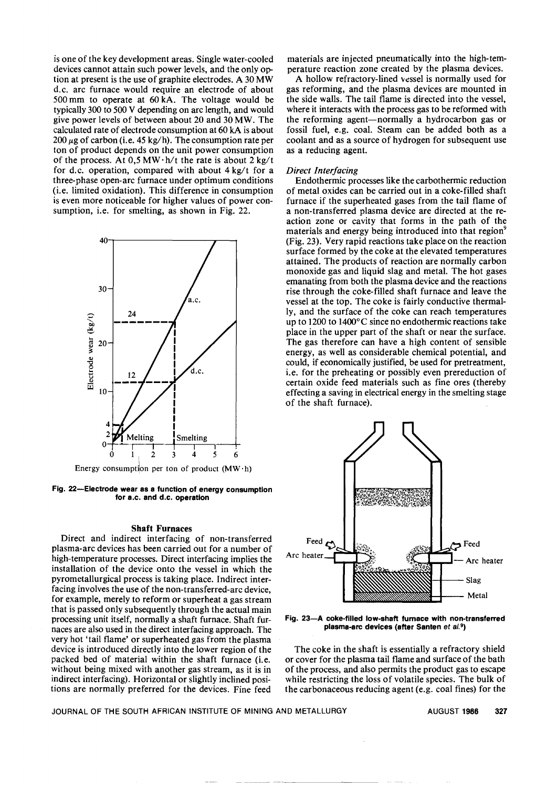is one of the key development areas. Single water-cooled devices cannot attain such power levels, and the only option at present is the use of graphite electrodes. A 30 MW d.c. arc furnace would require an electrode of about 500 mm to operate at 60 kA. The voltage would be typically 300 to 500 V depending on arc length, and would give power levels of between about 20 and 30 MW. The calculated rate of electrode consumption at 60 kA is about 200  $\mu$ g of carbon (i.e. 45 kg/h). The consumption rate per ton of product depends on the unit power consumption of the process. At  $0.5$  MW $\cdot$ h/t the rate is about 2 kg/t for d.c. operation, compared with about 4 kg/t for a three-phase open-arc furnace under optimum conditions (i.e. limited oxidation). This difference in consumption is even more noticeable for higher values of power consumption, i.e. for smelting, as shown in Fig. 22.



Energy consumption per ton of product  $(MW \cdot h)$ 

Fig. 22-Electrode wear as a function of energy consumption for a.c. and d.c. operation

#### Shaft Furnaces

Direct and indirect interfacing of non-transferred plasma-arc devices has been carried out for a number of high-temperature processes. Direct interfacing implies the installation of the device onto the vessel in which the pyrometallurgical process is taking place. Indirect interfacing involves the use of the non-transferred-arc device, for example, merely to reform or superheat a gas stream that is passed only subsequently through the actual main processing unit itself, normally a shaft furnace. Shaft furnaces are also used in the direct interfacing approach. The very hot 'tail flame' or superheated gas from the plasma device is introduced directly into the lower region of the packed bed of material within the shaft furnace (i.e. without being mixed with another gas stream, as it is in indirect interfacing). Horizontal or slightly inclined positions are normally preferred for the devices. Fine feed

materials are injected pneumatically into the high-temperature reaction zone created by the plasma devices.

A hollow refractory-lined vessel is normally used for gas reforming, and the plasma devices are mounted in the side walls. The tail flame is directed into the vessel, where it interacts with the process gas to be reformed with the reforming agent-normally a hydrocarbon gas or fossil fuel, e.g. coal. Steam can be added both as a coolant and as a source of hydrogen for subsequent use as a reducing agent.

## *Direct Interfacing*

Endothermic processes like the carbothermic reduction of metal oxides can be carried out in a coke-filled shaft furnace if the superheated gases from the tail flame of a non-transferred plasma device are directed at the reaction zone or cavity that forms in the path of the materials and energy being introduced into that region<sup>9</sup> (Fig. 23). Very rapid reactions take place on the reaction surface formed by the coke at the elevated temperatures attained. The products of reaction are normally carbon monoxide gas and liquid slag and metal. The hot gases emanating from both the plasma device and the reactions rise through the coke-filled shaft furnace and leave the vessel at the top. The coke is fairly conductive thermally, and the surface of the coke can reach temperatures up to 1200 to l400°C since no endothermic reactions take place in the upper part of the shaft or near the surface. The gas therefore can have a high content of sensible energy, as well as considerable chemical potential, and could, if economically justified, be used for pretreatment, i.e. for the preheating or possibly even prereduction of certain oxide feed materials such as fine ores (thereby effecting a saving in electrical energy in the smelting stage of the shaft furnace).



Fig. 23-A coke-filled low-shaft furnace with non-transferred plasma-arc devices (after Santen *et a/.9)*

The coke in the shaft is essentially a refractory shield or cover for the plasma tail flame and surface of the bath of the process, and also permits the product gas to escape while restricting the loss of volatile species. The bulk of the carbonaceous reducing agent (e.g. coal fines) for the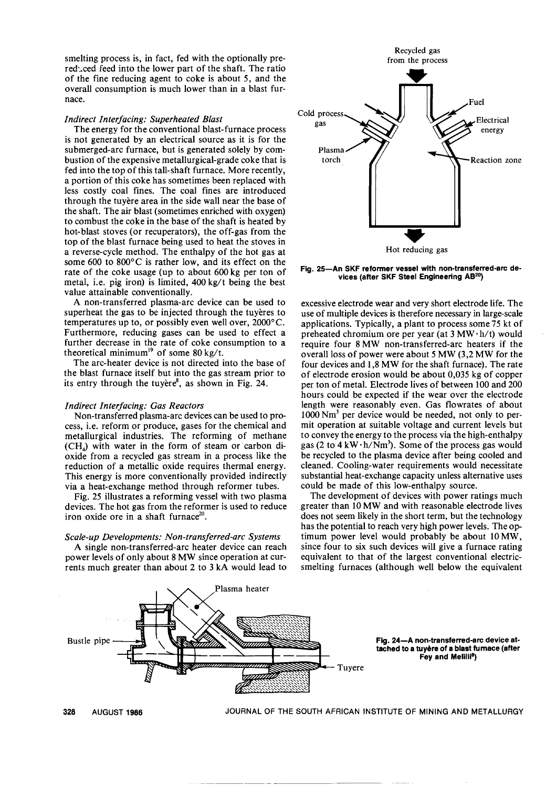smelting process is, in fact, fed with the optionally prereduced feed into the lower part of the shaft. The ratio of the fine reducing agent to coke is about 5, and the overall consumption is much lower than in a blast furnace.

## *Indirect Interfacing: Superheated Blast*

The energy for the conventional blast-furnace process is not generated by an electrical source as it is for the submerged-arc furnace, but is generated solely by combustion of the expensive metallurgical-grade coke that is fed into the top of this tall-shaft furnace. More recently, a portion of this coke has sometimes been replaced with less costly coal fines. The coal fines are introduced through the tuyere area in the side wall near the base of the shaft. The air blast (sometimes enriched with oxygen) to combust the coke in the base of the shaft is heated by hot-blast stoves (or recuperators), the off-gas from the top of the blast furnace being used to heat the stoves in a reverse-cycle method. The enthalpy of the hot gas at some 600 to 800°C is rather low, and its effect on the rate of the coke usage (up to about 600 kg per ton of metal, i.e. pig iron) is limited,  $400 \text{ kg/t}$  being the best value attainable conventionally.

A non-transferred plasma-arc device can be used to superheat the gas to be injected through the tuyeres to temperatures up to, or possibly even well over, 2000°C. Furthermore, reducing gases can be used to effect a further decrease in the rate of coke consumption to a theoretical minimum<sup>19</sup> of some 80 kg/t.

The arc-heater device is not directed into the base of the blast furnace itself but into the gas stream prior to its entry through the tuyere $\delta$ , as shown in Fig. 24.

## *Indirect Interfacing: Gas Reactors*

Non-transferred plasma-arc devices can be used to process, *i.e.* reform or produce, gases for the chemical and metallurgical industries. The reforming of methane (CH<sub>a</sub>) with water in the form of steam or carbon dioxide from a recycled gas stream in a process like the reduction of a metallic oxide requires thermal energy. This energy is more conventionally provided indirectly via a heat-exchange method through reformer tubes.

Fig. 25 illustrates a reforming vessel with two plasma devices. The hot gas from the reformer is used to reduce iron oxide ore in a shaft furnace<sup>20</sup>.

## *Scale-up Developments: Non-transferred-arc Systems*

A single non-transferred-arc heater device can reach power levels of only about 8 MW since operation at currents much greater than about 2 to 3 kA would lead to



Fig. 25-An SKF reformer vessel with non-transferred-arc devices (after SKF Steel Engineering AB20)

excessive electrode wear and very short electrode life. The use of multiple devices is therefore necessary in large-scale applications. Typically, a plant to process some 75 kt of preheated chromium ore per year (at  $3$  MW $\cdot$ h/t) would require four 8 MW non-transferred-arc heaters if the overall loss of power were about 5 MW (3,2 MW for the four devices and 1,8 MW for the shaft furnace). The rate of electrode erosion would be about 0,035 kg of copper per ton of metal. Electrode lives of between 100 and 200 hours could be expected if the wear over the electrode length were reasonably even. Gas flowrates of about 1000 Nm<sup>3</sup> per device would be needed, not only to permit operation at suitable voltage and current levels but to convey the energy to the process via the high-enthalpy gas (2 to 4 kW $\cdot$ h/Nm<sup>3</sup>). Some of the process gas would be recycled to the plasma device after being cooled and cleaned. Cooling-water requirements would necessitate substantial heat-exchange capacity unless alternative uses could be made of this low-enthalpy source.

The development of devices with power ratings much greater than 10 MW and with reasonable electrode lives does not seem likely in the short term, but the technology has the potential to reach very high power levels. The optimum power level would probably be about 10 MW, since four to six such devices will give a furnace rating equivalent to that of the largest conventional electricsmelting furnaces (although well below the equivalent

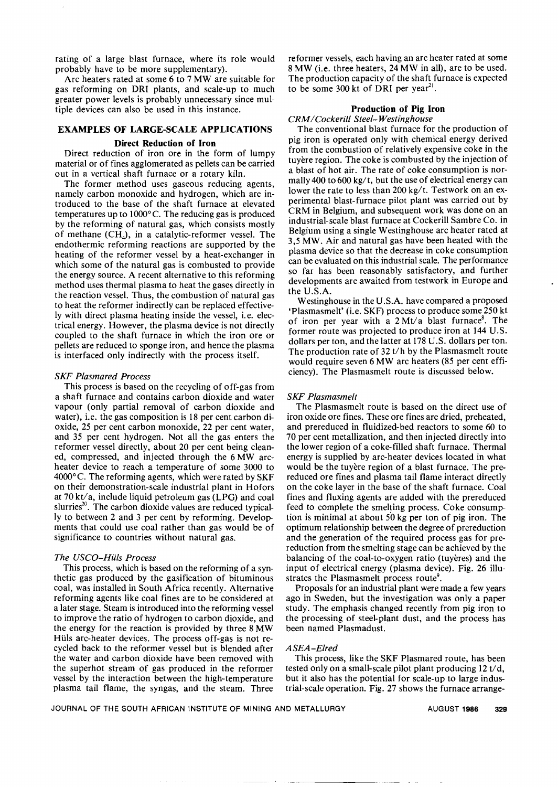rating of a large blast furnace, where its role would probably have to be more supplementary).

Arc heaters rated at some 6 to 7 MW are suitable for gas reforming on DRI plants, and scale-up to much greater power levels is probably unnecessary since multiple devices can also be used in this instance.

# EXAMPLES OF LARGE-SCALE APPLICATIONS

## Direct Reduction of Iron

Direct reduction of iron ore in the form of lumpy material or of fines agglomerated as pellets can be carried out in a vertical shaft furnace or a rotary kiln.

The former method uses gaseous reducing agents, namely carbon monoxide and hydrogen, which are introduced to the base of the shaft furnace at elevated temperatures up to 1000°C. The reducing gas is produced by the reforming of natural gas, which consists mostly of methane  $(CH_4)$ , in a catalytic-reformer vessel. The endothermic reforming reactions are supported by the heating of the reformer vessel by a heat-exchanger in which some of the natural gas is combusted to provide the energy source. A recent alternative to this reforming method uses thermal plasma to heat the gases directly in the reaction vessel. Thus, the combustion of natural gas to heat the reformer indirectly can be replaced effectively with direct plasma heating inside the vessel, i.e. electrical energy. However, the plasma device is not directly coupled to the shaft furnace in which the iron ore or pellets are reduced to sponge iron, and hence the plasma is interfaced only indirectly with the process itself.

## **SKF Plasmared Process**

This process is based on the recycling of off-gas from a shaft furnace and contains carbon dioxide and water vapour (only partial removal of carbon dioxide and water), i.e. the gas composition is 18 per cent carbon dioxide, 25 per cent carbon monoxide, 22 per cent water, and 35 per cent hydrogen. Not all the gas enters the reformer vessel directly, about 20 per cent being cleaned, compressed, and injected through the 6 MW archeater device to reach a temperature of some 3000 to  $4000^{\circ}$ C. The reforming agents, which were rated by SKF on their demonstration-scale industrial plant in Hofors at  $70 \text{ kV}$  a, include liquid petroleum gas (LPG) and coal slurries<sup>20</sup>. The carbon dioxide values are reduced typically to between 2 and 3 per cent by reforming. Developments that could use coal rather than gas would be of significance to countries without natural gas.

### *The USCO-HiUs Process*

This process, which is based on the reforming of a synthetic gas produced by the gasification of bituminous coal, was installed in South Africa recently. Alternative reforming agents like coal fines are to be considered at a later stage. Steam is introduced into the reforming vessel to improve the ratio of hydrogen to carbon dioxide, and the energy for the reaction is provided by three 8 MW Hüls arc-heater devices. The process off-gas is not recycled back to the reformer vessel but is blended after the water and carbon dioxide have been removed with the superhot stream of gas produced in the reformer vessel by the interaction between the high-temperature plasma tail flame, the syngas, and the steam. Three

reformer vessels, each having an arc heater rated at some 8 MW (i.e. three heaters, 24 MW in all), are to be used. The production capacity of the shaft furnace is expected to be some 300 kt of DRI per year<sup>21</sup>.

## Production of Pig Iron

## *CRM* / *Cockerill Steel- Westinghouse*

The conventional blast furnace for the production of pig iron is operated only with chemical energy derived from the combustion of relatively expensive coke in the tuyere region. The coke is combusted by the injection of a blast of hot air. The rate of coke consumption is normally 400 to 600 kg/t, but the use of electrical energy can lower the rate to less than  $200 \text{ kg/t}$ . Testwork on an experimental blast-furnace pilot plant was carried out by CRM in Belgium, and subsequent work was done on an industrial-scale blast furnace at Cockerill Sambre Co. in Belgium using a single Westinghouse arc heater rated at 3,5 MW. Air and natural gas have been heated with the plasma device so that the decrease in coke consumption can be evaluated on this industrial scale. The performance so far has been reasonably satisfactory, and further developments are awaited from testwork in Europe and the U.S.A.

Westinghouse in the V.S.A. have compared a proposed 'Plasmasmelt' (i.e. SKF) process to produce some 250 kt of iron per year with a  $2 \text{ Mt/a}$  blast furnace<sup>8</sup>. The former route was projected to produce iron at 144 V.S. dollars per ton, and the latter at 178 V.S. dollars per ton. The production rate of 32 t/h by the Plasmasmelt route would require seven 6 MW arc heaters (85 per cent efficiency). The Plasmasmelt route is discussed below.

## *SKF Plasmasmelt*

The Plasmasmelt route is based on the direct use of iron oxide ore fines. These ore fines are dried, preheated, and prereduced in fluidized-bed reactors to some 60 to 70 per cent metallization, and then injected directly into the lower region of a coke-filled shaft furnace. Thermal energy is supplied by arc-heater devices located in what would be the tuyere region of a blast furnace. The prereduced ore fines and plasma tail flame interact directly on the coke layer in the base of the shaft furnace. Coal fines and fluxing agents are added with the prereduced feed to complete the smelting process. Coke consumption is minimal at about 50 kg per ton of pig iron. The optimum relationship between the degree of prereduction and the generation of the required process gas for prereduction from the smelting stage can be achieved by the balancing of the coal-to-oxygen ratio (tuyeres) and the input of electrical energy (plasma device). Fig. 26 illustrates the Plasmasmelt process route<sup>9</sup>.

Proposals for an industrial plant were made a few years ago in Sweden, but the investigation was only a paper study. The emphasis changed recently from pig iron to the processing of steel-plant dust, and the process has been named Plasmadust.

## *ASEA-Elred*

This process, like the SKF Plasmared route, has been tested only on a small-scale pilot plant producing 12 t/ d, but it also has the potential for scale-up to large industrial-scale operation. Fig. 27 shows the furnace arrange-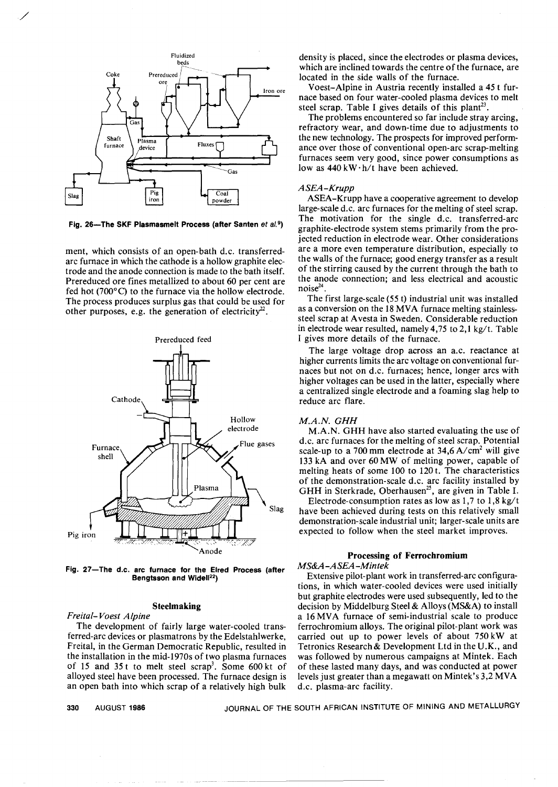

/

Fig. 26- The SKF Plasmasmelt Process (after Santen *et al.*9)

ment, which consists of an open-bath d.c. transferredarc furnace in which the cathode is a hollow graphite electrode and the anode connection is made to the bath itself. Prereduced ore fines metallized to about 60 per cent are fed hot (700°C) to the furnace via the hollow electrode. The process produces surplus gas that could be used for other purposes, e.g. the generation of electricity<sup>22</sup>.



Fig. 27-The d.c. arc furnace for the Elred Process (after Bengtsson and Widell<sup>22</sup>)

## Steelmaking

*Freital- Voest Alpine*

The development of fairly large water-cooled transferred-arc devices or plasmatrons by the Edelstahlwerke, Freital, in the German Democratic Republic, resulted in the installation in the mid-1970s of two plasma furnaces of 15 and 35 t to melt steel scrap<sup>3</sup>. Some 600 kt of alloyed steel have been processed. The furnace design is an open bath into which scrap of a relatively high bulk density is placed, since the electrodes or plasma devices, which are inclined towards the centre of the furnace, are located in the side walls of the furnace.

Voest-Alpine in Austria recently installed a 45 t furnace based on four water-cooled plasma devices to melt steel scrap. Table I gives details of this plant<sup>23</sup>.

The problems encountered so far include stray arcing, refractory wear, and down-time due to adjustments to the new technology. The prospects for improved performance over those of conventional open-arc scrap-melting furnaces seem very good, since power consumptions as low as  $440$  kW $\cdot$ h/t have been achieved.

## *ASEA-Krupp*

ASEA-Krupp have a cooperative agreement to develop large-scale d.c. arc furnaces for the melting of steel scrap. The motivation for the single d.c. transferred-arc graphite-electrode system stems primarily from the projected reduction in electrode wear. Other considerations are a more even temperature distribution, especially to the walls of the furnace; good energy transfer as a result of the stirring caused by the current through the bath to the anode connection; and less electrical and acoustic  $noise^{24}$ .

The first large-scale (55 t) industrial unit was installed as a conversion on the 18 MVA furnace melting stainlesssteel scrap at A vesta in Sweden. Considerable reduction in electrode wear resulted, namely  $4,75$  to  $2,1$  kg/t. Table I gives more details of the furnace.

The large voltage drop across an a.c. reactance at higher currents limits the arc voltage on conventional furnaces but not on d.c. furnaces; hence, longer arcs with higher voltages can be used in the latter, especially where a centralized single electrode and a foaming slag help to reduce arc flare.

### *M.A.N. GHH*

M.A.N. GHH have also started evaluating the use of d.c. arc furnaces for the melting of steel scrap. Potential scale-up to a 700 mm electrode at  $34,6$  A/cm<sup>2</sup> will give 133 kA and over 60 MW of melting power, capable of melting heats of some 100 to 120 t. The characteristics of the demonstration-scale d.c. arc facility installed by GHH in Sterkrade, Oberhausen<sup>25</sup>, are given in Table I.

Electrode-consumption rates as low as  $1,7$  to  $1,8$  kg/t have been achieved during tests on this relatively small demonstration-scale industrial unit; larger-scale units are expected to follow when the steel market improves.

## Processing of Ferrochromium *MS&A-ASEA-Mintek*

Extensive pilot-plant work in transferred-arc configurations, in which water-cooled devices were used initially but graphite electrodes were used subsequently, led to the decision by Middelburg Steel & Alloys (MS&A) to install a 16 MVA furnace of semi-industrial scale to produce ferrochromium alloys. The original pilot-plant work was carried out up to power levels of about 750 kW at Tetronics Research & Development Ltd in the U.K., and was followed by numerous campaigns at Mintek. Each of these lasted many days, and was conducted at power levels just greater than a megawatt on Mintek's 3,2 MVA d.c. plasma-arc facility.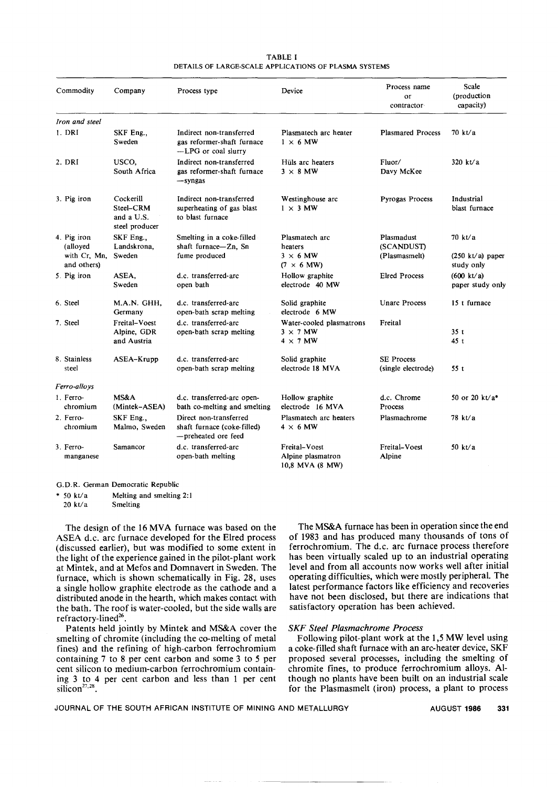#### TABLE I DETAILS OF LARGE-SCALEAPPLICATIONS OF PLASMA SYSTEMS

| Commodity                                | Company                                                | Process type                                                                  | Device                                                         | Process name<br>or<br>contractor          | Scale<br>(production<br>capacity)        |
|------------------------------------------|--------------------------------------------------------|-------------------------------------------------------------------------------|----------------------------------------------------------------|-------------------------------------------|------------------------------------------|
| Iron and steel                           |                                                        |                                                                               |                                                                |                                           |                                          |
| 1. DRI                                   | SKF Eng.,<br>Sweden                                    | Indirect non-transferred<br>gas reformer-shaft furnace<br>-LPG or coal slurry | Plasmatech arc heater<br>$1 \times 6$ MW                       | <b>Plasmared Process</b>                  | 70 kt/a                                  |
| 2. DRI                                   | USCO,<br>South Africa                                  | Indirect non-transferred<br>gas reformer-shaft furnace<br>-syngas             | Hüls arc heaters<br>$3 \times 8$ MW                            | Fluor/<br>Davy McKee                      | 320 kt/a                                 |
| 3. Pig iron                              | Cockerill<br>Steel-CRM<br>and a U.S.<br>steel producer | Indirect non-transferred<br>superheating of gas blast<br>to blast furnace     | Westinghouse arc<br>$1 \times 3$ MW                            | <b>Pyrogas Process</b>                    | Industrial<br>blast furnace              |
| 4. Pig iron<br>(alloyed)<br>with Cr. Mn. | SKF Eng.,<br>Landskrona,<br>Sweden                     | Smelting in a coke-filled<br>shaft furnace-Zn, Sn<br>fume produced            | Plasmatech arc<br>heaters<br>$3 \times 6$ MW                   | Plasmadust<br>(SCANDUST)<br>(Plasmasmelt) | 70 kt/a<br>$(250 \text{ kt/a})$ paper    |
| and others)                              |                                                        |                                                                               | $(7 \times 6 \text{ MW})$                                      |                                           | study only                               |
| 5. Pig iron                              | ASEA,<br>Sweden                                        | d.c. transferred-arc<br>open bath                                             | Hollow graphite<br>electrode 40 MW                             | <b>Elred Process</b>                      | $(600 \text{ kt/a})$<br>paper study only |
| 6. Steel                                 | M.A.N. GHH,<br>Germany                                 | d.c. transferred-arc<br>open-bath scrap melting                               | Solid graphite<br>electrode 6 MW                               | <b>Unarc Process</b>                      | 15 t furnace                             |
| 7. Steel                                 | Freital-Voest<br>Alpine, GDR<br>and Austria            | d.c. transferred-arc<br>open-bath scrap melting                               | Water-cooled plasmatrons<br>$3 \times 7$ MW<br>$4 \times 7$ MW | Freital                                   | 35t<br>45 t                              |
| 8. Stainless<br>steel                    | ASEA-Krupp                                             | d.c. transferred-arc<br>open-bath scrap melting                               | Solid graphite<br>electrode 18 MVA                             | <b>SE Process</b><br>(single electrode)   | 55t                                      |
| Ferro-alloys                             |                                                        |                                                                               |                                                                |                                           |                                          |
| 1. Ferro-<br>chromium                    | MS&A<br>(Mintek-ASEA)                                  | d.c. transferred-arc open-<br>bath co-melting and smelting                    | Hollow graphite<br>electrode 16 MVA                            | d.c. Chrome<br>Process                    | 50 or 20 $kt/a$ <sup>*</sup>             |
| 2. Ferro-<br>chromium                    | SKF Eng<br>Malmo, Sweden                               | Direct non-transferred<br>shaft furnace (coke-filled)<br>-preheated ore feed  | Plasmatech arc heaters<br>$4 \times 6$ MW                      | Plasmachrome                              | 78 kt/a                                  |
| 3. Ferro-<br>manganese                   | Samancor                                               | d.c. transferred-arc<br>open-bath melting                                     | Freital-Voest<br>Alpine plasmatron<br>10,8 MVA (8 MW)          | Freital-Voest<br>Alpine                   | 50 $kt/a$                                |
|                                          |                                                        |                                                                               |                                                                |                                           |                                          |

G.D.R. German Democratic Republic

\* 50 kt/a Melting and smelting 2:1

20 kt/a Smelting

The design of the 16 MVA furnace was based on the ASEA d.c. arc furnace developed for the Elred process (discussed earlier), but was modified to some extent in the light of the experience gained in the pilot-plant work at Mintek, and at Mefos and Domnavert in Sweden. The furnace, which is shown schematically in Fig. 28, uses a single hollow graphite electrode as the cathode and a distributed anode in the hearth, which makes contact with the bath. The roof is water-cooled, but the side walls are refractory-lined<sup>26</sup>.

Patents held jointly by Mintek and MS&A cover the smelting of chromite (including the co-melting of metal fines) and the refining of high-carbon ferrochromium containing 7 to 8 per cent carbon and some 3 to 5 per cent silicon to medium-carbon ferrochromium containing 3 to 4 per cent carbon and less than 1 per cent silicon<sup>27,28</sup>

The MS&A furnace has been in operation since the end of 1983 and has produced many thousands of tons of ferrochromium. The d.c. arc furnace process therefore has been virtually scaled up to an industrial operating level and from all accounts now works well after initial operating difficulties, which were mostly peripheral. The latest performance factors like efficiency and recoveries have not been disclosed, but there are indications that satisfactory operation has been achieved.

## *SKF Steel Plasmachrome Process*

Following pilot-plant work at the 1,5 MW level using a coke-filled shaft furnace with an arc-heater device, SKF proposed several processes, including the smelting of chromite fines, to produce ferrochromium alloys. Although no plants have been built on an industrial scale for the Plasmasmelt (iron) process, a plant to process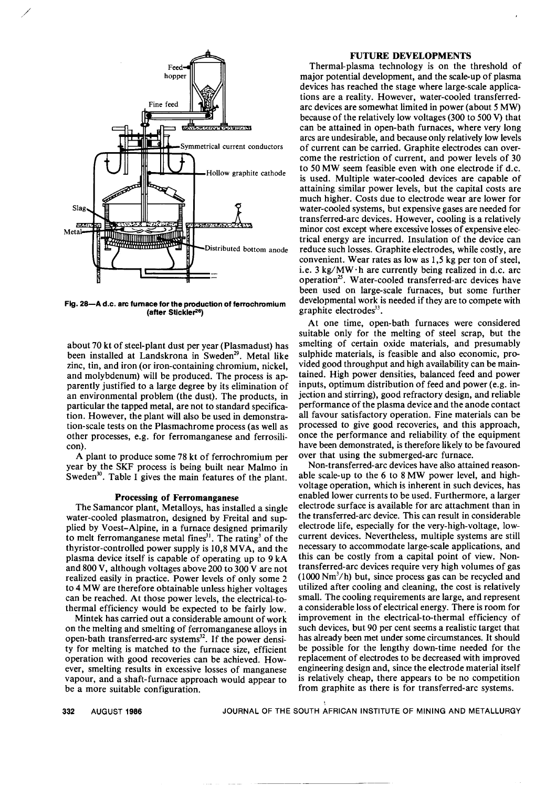

**Fig. 28-A** d.c. **arc furnace for the production of ferrochromium (after Stickler26)**

about 70 kt of steel-plant dust per year (Plasmadust) has been installed at Landskrona in Sweden<sup>29</sup>. Metal like zinc, tin, and iron (or iron-containing chromium, nickel, and molybdenum) will be produced. The process is apparently justified to a large degree by its elimination of an environmental problem (the dust). The products, in particular the tapped metal, are not to standard specification. However, the plant will also be used in demonstration-scale tests on the Plasmachrome process (as well as other processes, e.g. for ferromanganese and ferrosilicon).

A plant to produce some 78 kt of ferrochromium per year by the SKF process is being built near Malmo in Sweden<sup>30</sup>. Table I gives the main features of the plant.

## **Processing of Ferromanganese**

The Samancor plant, Metalloys, has installed a single water-cooled plasmatron, designed by Freital and supplied by Voest-Alpine, in a furnace designed primarily to melt ferromanganese metal fines $3<sup>1</sup>$ . The rating<sup>3</sup> of the thyristor-controlled power supply is 10,8 MVA, and the plasma device itself is capable of operating up to 9 kA and 800 V, although voltages above 200 to 300 V are not realized easily in practice. Power levels of only some 2 to 4 MW are therefore obtainable unless higher voltages can be reached. At those power levels, the electrical-tothermal efficiency would be expected to be fairly low.

Mintek has carried out a considerable amount of work on the melting ahd smelting of ferromanganese alloys in open-bath transferred-arc systems $32$ . If the power density for melting is matched to the furnace size, efficient operation with good recoveries can be achieved. However, smelting results in excessive losses of manganese vapour, and a shaft-furnace approach would appear to be a more suitable configuration.

## **FUTURE DEVELOPMENTS**

Thermal-plasma technology is on the threshold of major potential development, and the scale-up of plasma devices has reached the stage where large-scale applications are a reality. However, water-cooled transferredarc devices are somewhat limited in power (about 5 MW) because of the relatively low voltages (300 to 500 V) that can be attained in open-bath furnaces, where very long arcs are undesirable, and because only relatively low levels of current can be carried. Graphite electrodes can overcome the restriction of current, and power levels of 30 to 50 MW seem feasible even with one electrode if d.c. is used. Multiple water-cooled devices are capable of attaining similar power levels, but the capital costs are much higher. Costs due to electrode wear are lower for water-cooled systems, but expensive gases are needed for transferred-arc devices. However, cooling is a relatively minor cost except where excessive losses of expensive electrical energy are incurred. Insulation of the device can reduce such losses. Graphite electrodes, while costly, are convenient. Wear rates as low as 1,5 kg per ton of steel, i.e.  $3 \text{ kg}/\text{MW} \cdot \text{h}$  are currently being realized in d.c. arc operation<sup>25</sup>. Water-cooled transferred-arc devices have been used on large-scale furnaces, but some further developmental work is needed if they are to compete with graphite electrodes $33$ .

At one time, open-bath furnaces were considered suitable only for the melting of steel scrap, but the smelting of certain oxide materials, and presumably sulphide materials, is feasible and also economic, provided good throughput and high availability can be maintained. High power densities, balanced feed and power inputs, optimum distribution of feed and power (e.g. injection and stirring), good refractory design, and reliable performance of the plasma device and the anode contact all favour satisfactory operation. Fine materials can be processed to give good recoveries, and this approach, once the performance and reliability of the equipment have been demonstrated, is therefore likely to be favoured over that using the submerged-arc furnace.

Non-transferred-arc devices have also attained reasonable scale-up to the 6 to 8 MW power level, and highvoltage operation, which is inherent in such devices, has enabled lower currents to be used. Furthermore, a larger electrode surface is available for arc attachment than in the transferred-arc device. This can result in considerable electrode life, especially for the very-high-voltage, lowcurrent devices. Nevertheless, multiple systems are still necessary to accommodate large-scale applications, and this can be costly from a capital point of view. Nontransferred-arc devices require very high volumes of gas  $(1000 \text{ Nm}^3/\text{h})$  but, since process gas can be recycled and utilized after cooling and cleaning, the cost is relatively small. The cooling requirements are large, and represent a considerable loss of electrical energy. There is room for improvement in the electrical-to-thermal efficiency of such devices, but 90 per cent seems a realistic target that has already been met under some circumstances. It should be possible for the lengthy down-time needed for the replacement of electrodes to be decreased with improved engineering design and, since the electrode material itself is relatively cheap, there appears to be no competition from graphite as there is for transferred-arc systems.